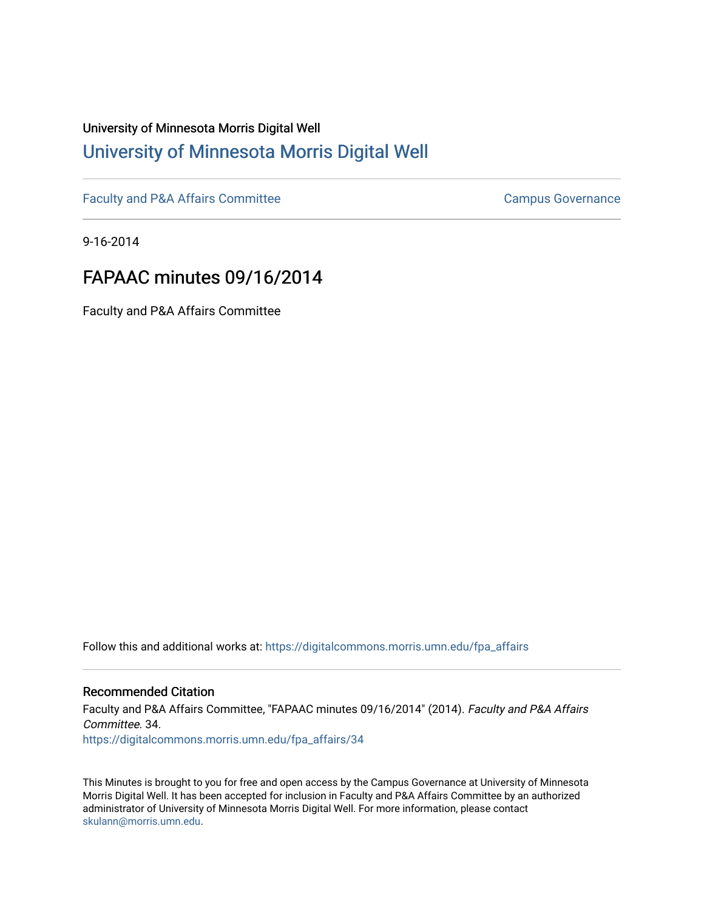# University of Minnesota Morris Digital Well [University of Minnesota Morris Digital Well](https://digitalcommons.morris.umn.edu/)

[Faculty and P&A Affairs Committee](https://digitalcommons.morris.umn.edu/fpa_affairs) [Campus Governance](https://digitalcommons.morris.umn.edu/campgov) Campus Governance

9-16-2014

# FAPAAC minutes 09/16/2014

Faculty and P&A Affairs Committee

Follow this and additional works at: [https://digitalcommons.morris.umn.edu/fpa\\_affairs](https://digitalcommons.morris.umn.edu/fpa_affairs?utm_source=digitalcommons.morris.umn.edu%2Ffpa_affairs%2F34&utm_medium=PDF&utm_campaign=PDFCoverPages)

### Recommended Citation

Faculty and P&A Affairs Committee, "FAPAAC minutes 09/16/2014" (2014). Faculty and P&A Affairs Committee. 34. [https://digitalcommons.morris.umn.edu/fpa\\_affairs/34](https://digitalcommons.morris.umn.edu/fpa_affairs/34?utm_source=digitalcommons.morris.umn.edu%2Ffpa_affairs%2F34&utm_medium=PDF&utm_campaign=PDFCoverPages) 

This Minutes is brought to you for free and open access by the Campus Governance at University of Minnesota Morris Digital Well. It has been accepted for inclusion in Faculty and P&A Affairs Committee by an authorized administrator of University of Minnesota Morris Digital Well. For more information, please contact [skulann@morris.umn.edu.](mailto:skulann@morris.umn.edu)